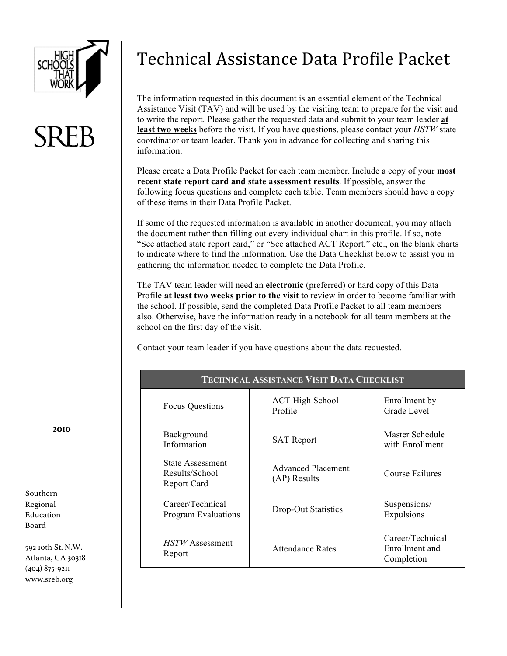

# Technical Assistance Data Profile Packet

The information requested in this document is an essential element of the Technical Assistance Visit (TAV) and will be used by the visiting team to prepare for the visit and to write the report. Please gather the requested data and submit to your team leader **at least two weeks** before the visit. If you have questions, please contact your *HSTW* state coordinator or team leader. Thank you in advance for collecting and sharing this information.

Please create a Data Profile Packet for each team member. Include a copy of your **most recent state report card and state assessment results**. If possible, answer the following focus questions and complete each table. Team members should have a copy of these items in their Data Profile Packet.

If some of the requested information is available in another document, you may attach the document rather than filling out every individual chart in this profile. If so, note "See attached state report card," or "See attached ACT Report," etc., on the blank charts to indicate where to find the information. Use the Data Checklist below to assist you in gathering the information needed to complete the Data Profile.

The TAV team leader will need an **electronic** (preferred) or hard copy of this Data Profile **at least two weeks prior to the visit** to review in order to become familiar with the school. If possible, send the completed Data Profile Packet to all team members also. Otherwise, have the information ready in a notebook for all team members at the school on the first day of the visit.

Contact your team leader if you have questions about the data requested.

| <b>TECHNICAL ASSISTANCE VISIT DATA CHECKLIST</b>  |                                           |                                                  |  |  |
|---------------------------------------------------|-------------------------------------------|--------------------------------------------------|--|--|
| <b>Focus Questions</b>                            | <b>ACT High School</b><br>Profile         | Enrollment by<br>Grade Level                     |  |  |
| Background<br>Information                         | <b>SAT Report</b>                         | Master Schedule<br>with Enrollment               |  |  |
| State Assessment<br>Results/School<br>Report Card | <b>Advanced Placement</b><br>(AP) Results | Course Failures                                  |  |  |
| Career/Technical<br><b>Program Evaluations</b>    | Drop-Out Statistics                       | Suspensions/<br>Expulsions                       |  |  |
| <i>HSTW</i> Assessment<br>Report                  | <b>Attendance Rates</b>                   | Career/Technical<br>Enrollment and<br>Completion |  |  |

**2010**

Southern Regional Education Board

592 10th St. N.W. Atlanta, GA 30318 (404) 875-9211 www.sreb.org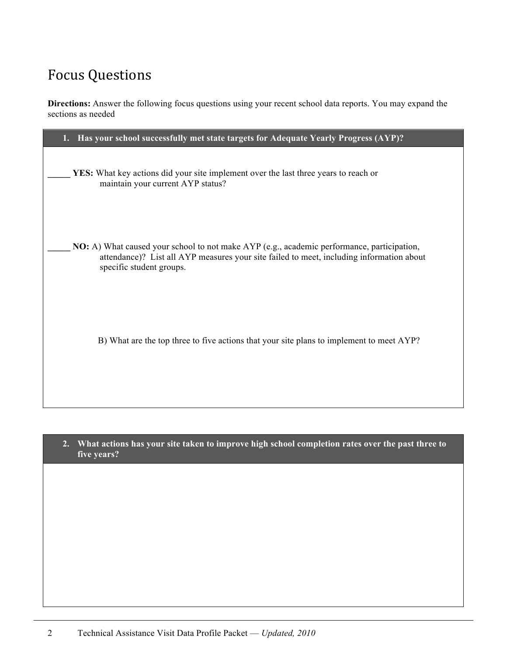## Focus Questions

**Directions:** Answer the following focus questions using your recent school data reports. You may expand the sections as needed

**2. What actions has your site taken to improve high school completion rates over the past three to five years?**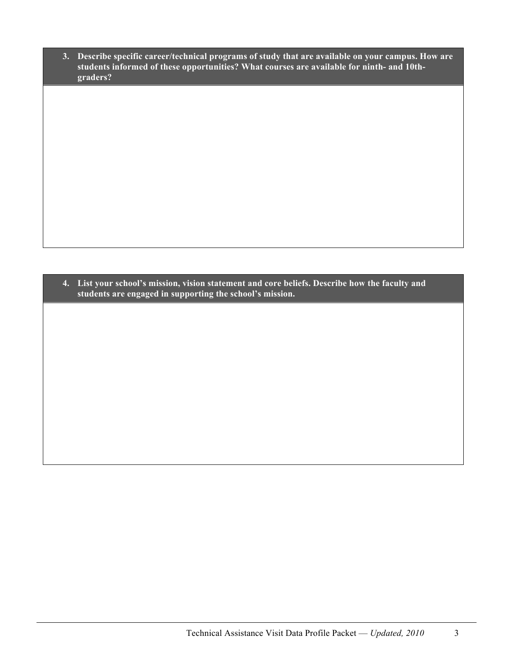**3. Describe specific career/technical programs of study that are available on your campus. How are students informed of these opportunities? What courses are available for ninth- and 10thgraders?** 

**4. List your school's mission, vision statement and core beliefs. Describe how the faculty and students are engaged in supporting the school's mission.**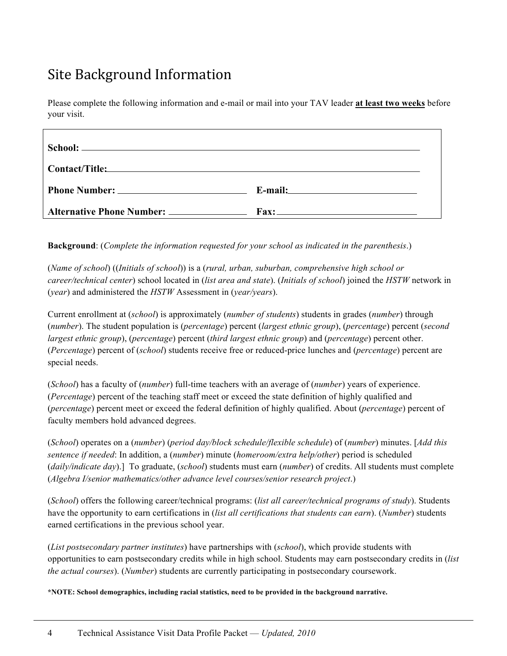### Site Background Information

Please complete the following information and e-mail or mail into your TAV leader **at least two weeks** before your visit.

**Background**: (*Complete the information requested for your school as indicated in the parenthesis*.)

(*Name of school*) ((*Initials of school*)) is a (*rural, urban, suburban, comprehensive high school or career/technical center*) school located in (*list area and state*). (*Initials of school*) joined the *HSTW* network in (*year*) and administered the *HSTW* Assessment in (*year/years*).

Current enrollment at (*school*) is approximately (*number of students*) students in grades (*number*) through (*number*). The student population is (*percentage*) percent (*largest ethnic group*), (*percentage*) percent (*second largest ethnic group*), (*percentage*) percent (*third largest ethnic group*) and (*percentage*) percent other. (*Percentage*) percent of (*school*) students receive free or reduced-price lunches and (*percentage*) percent are special needs.

(*School*) has a faculty of (*number*) full-time teachers with an average of (*number*) years of experience. (*Percentage*) percent of the teaching staff meet or exceed the state definition of highly qualified and (*percentage*) percent meet or exceed the federal definition of highly qualified. About (*percentage*) percent of faculty members hold advanced degrees.

(*School*) operates on a (*number*) (*period day/block schedule/flexible schedule*) of (*number*) minutes. [*Add this sentence if needed*: In addition, a (*number*) minute (*homeroom/extra help/other*) period is scheduled (*daily/indicate day*).] To graduate, (*school*) students must earn (*number*) of credits. All students must complete (*Algebra I/senior mathematics/other advance level courses/senior research project*.)

(*School*) offers the following career/technical programs: (*list all career/technical programs of study*). Students have the opportunity to earn certifications in (*list all certifications that students can earn*). (*Number*) students earned certifications in the previous school year.

(*List postsecondary partner institutes*) have partnerships with (*school*), which provide students with opportunities to earn postsecondary credits while in high school. Students may earn postsecondary credits in (*list the actual courses*). (*Number*) students are currently participating in postsecondary coursework.

**\*NOTE: School demographics, including racial statistics, need to be provided in the background narrative.**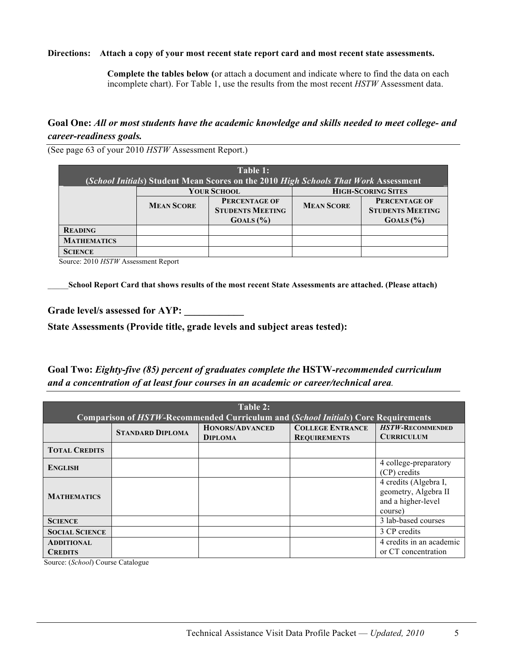#### **Directions: Attach a copy of your most recent state report card and most recent state assessments.**

**Complete the tables below (**or attach a document and indicate where to find the data on each incomplete chart). For Table 1, use the results from the most recent *HSTW* Assessment data.

#### **Goal One:** *All or most students have the academic knowledge and skills needed to meet college- and career-readiness goals.*

(See page 63 of your 2010 *HSTW* Assessment Report.)

| Table 1:           |                                                                      |                                                                                     |                   |                                                 |  |
|--------------------|----------------------------------------------------------------------|-------------------------------------------------------------------------------------|-------------------|-------------------------------------------------|--|
|                    |                                                                      | (School Initials) Student Mean Scores on the 2010 High Schools That Work Assessment |                   |                                                 |  |
|                    |                                                                      | <b>YOUR SCHOOL</b>                                                                  |                   | <b>HIGH-SCORING SITES</b>                       |  |
|                    | <b>PERCENTAGE OF</b><br><b>MEAN SCORE</b><br><b>STUDENTS MEETING</b> |                                                                                     | <b>MEAN SCORE</b> | <b>PERCENTAGE OF</b><br><b>STUDENTS MEETING</b> |  |
|                    |                                                                      | GOALS (%)                                                                           |                   | GOALS (%)                                       |  |
| <b>READING</b>     |                                                                      |                                                                                     |                   |                                                 |  |
| <b>MATHEMATICS</b> |                                                                      |                                                                                     |                   |                                                 |  |
| <b>SCIENCE</b>     |                                                                      |                                                                                     |                   |                                                 |  |

Source: 2010 *HSTW* Assessment Report

\_\_\_\_\_**School Report Card that shows results of the most recent State Assessments are attached. (Please attach)**

Grade level/s assessed for AYP:

**State Assessments (Provide title, grade levels and subject areas tested):**

**Goal Two:** *Eighty-five (85) percent of graduates complete the* **HSTW***-recommended curriculum and a concentration of at least four courses in an academic or career/technical area.*

| Table 2:<br><b>Comparison of HSTW-Recommended Curriculum and (School Initials) Core Requirements</b> |                         |                                          |                                                |                                                                                |  |
|------------------------------------------------------------------------------------------------------|-------------------------|------------------------------------------|------------------------------------------------|--------------------------------------------------------------------------------|--|
|                                                                                                      | <b>STANDARD DIPLOMA</b> | <b>HONORS/ADVANCED</b><br><b>DIPLOMA</b> | <b>COLLEGE ENTRANCE</b><br><b>REQUIREMENTS</b> | <b>HSTW-RECOMMENDED</b><br><b>CURRICULUM</b>                                   |  |
| <b>TOTAL CREDITS</b>                                                                                 |                         |                                          |                                                |                                                                                |  |
| <b>ENGLISH</b>                                                                                       |                         |                                          |                                                | 4 college-preparatory<br>(CP) credits                                          |  |
| <b>MATHEMATICS</b>                                                                                   |                         |                                          |                                                | 4 credits (Algebra I,<br>geometry, Algebra II<br>and a higher-level<br>course) |  |
| <b>SCIENCE</b>                                                                                       |                         |                                          |                                                | 3 lab-based courses                                                            |  |
| <b>SOCIAL SCIENCE</b>                                                                                |                         |                                          |                                                | 3 CP credits                                                                   |  |
| <b>ADDITIONAL</b><br><b>CREDITS</b>                                                                  |                         |                                          |                                                | 4 credits in an academic<br>or CT concentration                                |  |

Source: (*School*) Course Catalogue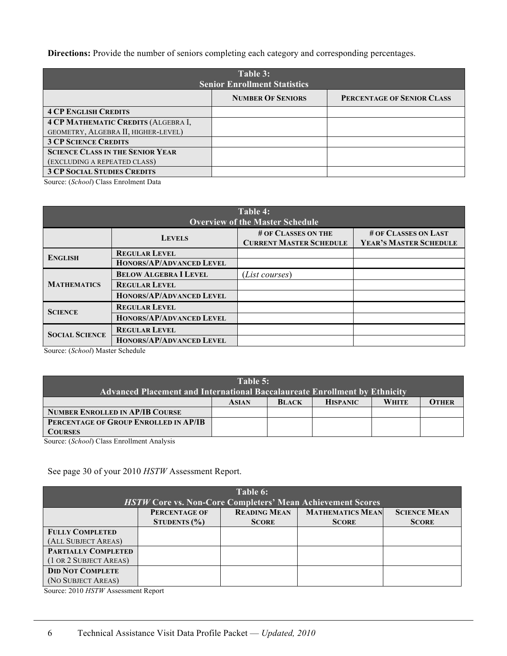**Directions:** Provide the number of seniors completing each category and corresponding percentages.

| Table 3:<br><b>Senior Enrollment Statistics</b> |                          |                            |  |  |
|-------------------------------------------------|--------------------------|----------------------------|--|--|
|                                                 | <b>NUMBER OF SENIORS</b> | PERCENTAGE OF SENIOR CLASS |  |  |
| <b>4 CP ENGLISH CREDITS</b>                     |                          |                            |  |  |
| <b>4 CP MATHEMATIC CREDITS (ALGEBRA I,</b>      |                          |                            |  |  |
| GEOMETRY, ALGEBRA II, HIGHER-LEVEL)             |                          |                            |  |  |
| <b>3 CP SCIENCE CREDITS</b>                     |                          |                            |  |  |
| <b>SCIENCE CLASS IN THE SENIOR YEAR</b>         |                          |                            |  |  |
| (EXCLUDING A REPEATED CLASS)                    |                          |                            |  |  |
| <b>3 CP SOCIAL STUDIES CREDITS</b>              |                          |                            |  |  |

Source: (*School*) Class Enrolment Data

| Table 4:<br><b>Overview of the Master Schedule</b> |                                                         |                                                       |                                                |  |  |
|----------------------------------------------------|---------------------------------------------------------|-------------------------------------------------------|------------------------------------------------|--|--|
|                                                    | <b>LEVELS</b>                                           | # OF CLASSES ON THE<br><b>CURRENT MASTER SCHEDULE</b> | # OF CLASSES ON LAST<br>YEAR'S MASTER SCHEDULE |  |  |
| <b>ENGLISH</b>                                     | <b>REGULAR LEVEL</b><br><b>HONORS/AP/ADVANCED LEVEL</b> |                                                       |                                                |  |  |
|                                                    | <b>BELOW ALGEBRA I LEVEL</b>                            | ( <i>List courses</i> )                               |                                                |  |  |
| <b>MATHEMATICS</b>                                 | <b>REGULAR LEVEL</b>                                    |                                                       |                                                |  |  |
|                                                    | HONORS/AP/ADVANCED LEVEL                                |                                                       |                                                |  |  |
| <b>SCIENCE</b>                                     | <b>REGULAR LEVEL</b>                                    |                                                       |                                                |  |  |
|                                                    | HONORS/AP/ADVANCED LEVEL                                |                                                       |                                                |  |  |
| <b>SOCIAL SCIENCE</b>                              | <b>REGULAR LEVEL</b>                                    |                                                       |                                                |  |  |
|                                                    | <b>HONORS/AP/ADVANCED LEVEL</b>                         |                                                       |                                                |  |  |

Source: (*School*) Master Schedule

| Table 5:                                                                          |  |  |  |  |  |  |  |
|-----------------------------------------------------------------------------------|--|--|--|--|--|--|--|
| <b>Advanced Placement and International Baccalaureate Enrollment by Ethnicity</b> |  |  |  |  |  |  |  |
| <b>OTHER</b><br><b>HISPANIC</b><br><b>WHITE</b><br><b>BLACK</b><br><b>ASIAN</b>   |  |  |  |  |  |  |  |
| <b>NUMBER ENROLLED IN AP/IB COURSE</b>                                            |  |  |  |  |  |  |  |
| PERCENTAGE OF GROUP ENROLLED IN AP/IB                                             |  |  |  |  |  |  |  |
| <b>COURSES</b><br>$\alpha$ $(0,1,0)$ $\alpha$ $(1,0,1)$ $(1,0,1)$                 |  |  |  |  |  |  |  |

Source: (*School*) Class Enrollment Analysis

#### See page 30 of your 2010 *HSTW* Assessment Report.

| Table 6:<br><b>HSTW Core vs. Non-Core Completers' Mean Achievement Scores</b> |                                   |                                     |                                         |                                     |  |  |
|-------------------------------------------------------------------------------|-----------------------------------|-------------------------------------|-----------------------------------------|-------------------------------------|--|--|
|                                                                               | PERCENTAGE OF<br>STUDENTS $(\% )$ | <b>READING MEAN</b><br><b>SCORE</b> | <b>MATHEMATICS MEAN</b><br><b>SCORE</b> | <b>SCIENCE MEAN</b><br><b>SCORE</b> |  |  |
| <b>FULLY COMPLETED</b>                                                        |                                   |                                     |                                         |                                     |  |  |
| (ALL SUBJECT AREAS)                                                           |                                   |                                     |                                         |                                     |  |  |
| PARTIALLY COMPLETED                                                           |                                   |                                     |                                         |                                     |  |  |
| (1 OR 2 SUBJECT AREAS)                                                        |                                   |                                     |                                         |                                     |  |  |
| <b>DID NOT COMPLETE</b>                                                       |                                   |                                     |                                         |                                     |  |  |
| (NO SUBJECT AREAS)                                                            |                                   |                                     |                                         |                                     |  |  |

Source: 2010 *HSTW* Assessment Report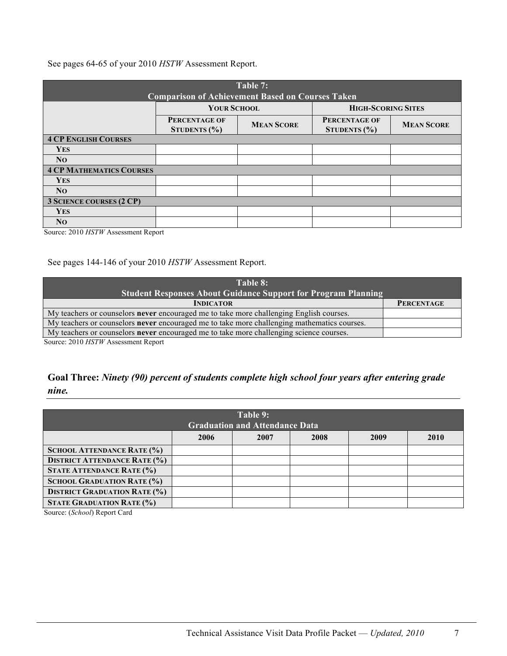See pages 64-65 of your 2010 *HSTW* Assessment Report.

| Table 7:<br><b>Comparison of Achievement Based on Courses Taken</b> |                                                 |                   |                                          |                   |  |  |
|---------------------------------------------------------------------|-------------------------------------------------|-------------------|------------------------------------------|-------------------|--|--|
|                                                                     | <b>HIGH-SCORING SITES</b><br><b>YOUR SCHOOL</b> |                   |                                          |                   |  |  |
|                                                                     | <b>PERCENTAGE OF</b><br>STUDENTS $(\% )$        | <b>MEAN SCORE</b> | <b>PERCENTAGE OF</b><br>STUDENTS $(\% )$ | <b>MEAN SCORE</b> |  |  |
| <b>4 CP ENGLISH COURSES</b>                                         |                                                 |                   |                                          |                   |  |  |
| <b>YES</b>                                                          |                                                 |                   |                                          |                   |  |  |
| N <sub>O</sub>                                                      |                                                 |                   |                                          |                   |  |  |
| <b>4 CP MATHEMATICS COURSES</b>                                     |                                                 |                   |                                          |                   |  |  |
| <b>YES</b>                                                          |                                                 |                   |                                          |                   |  |  |
| N <sub>O</sub>                                                      |                                                 |                   |                                          |                   |  |  |
| <b>3 SCIENCE COURSES (2 CP)</b>                                     |                                                 |                   |                                          |                   |  |  |
| <b>YES</b>                                                          |                                                 |                   |                                          |                   |  |  |
| N <sub>O</sub>                                                      |                                                 |                   |                                          |                   |  |  |

Source: 2010 *HSTW* Assessment Report

See pages 144-146 of your 2010 *HSTW* Assessment Report.

| Table 8:                                                                                           |                   |  |  |
|----------------------------------------------------------------------------------------------------|-------------------|--|--|
| <b>Student Responses About Guidance Support for Program Planning</b>                               |                   |  |  |
| <b>INDICATOR</b>                                                                                   | <b>PERCENTAGE</b> |  |  |
| My teachers or counselors <b>never</b> encouraged me to take more challenging English courses.     |                   |  |  |
| My teachers or counselors <b>never</b> encouraged me to take more challenging mathematics courses. |                   |  |  |
| My teachers or counselors <b>never</b> encouraged me to take more challenging science courses.     |                   |  |  |

Source: 2010 *HSTW* Assessment Report

#### **Goal Three:** *Ninety (90) percent of students complete high school four years after entering grade nine.*

| Table 9:                            |                                       |      |      |      |      |  |  |
|-------------------------------------|---------------------------------------|------|------|------|------|--|--|
|                                     | <b>Graduation and Attendance Data</b> |      |      |      |      |  |  |
|                                     | 2006                                  | 2007 | 2008 | 2009 | 2010 |  |  |
| <b>SCHOOL ATTENDANCE RATE (%)</b>   |                                       |      |      |      |      |  |  |
| <b>DISTRICT ATTENDANCE RATE (%)</b> |                                       |      |      |      |      |  |  |
| <b>STATE ATTENDANCE RATE (%)</b>    |                                       |      |      |      |      |  |  |
| <b>SCHOOL GRADUATION RATE (%)</b>   |                                       |      |      |      |      |  |  |
| <b>DISTRICT GRADUATION RATE (%)</b> |                                       |      |      |      |      |  |  |
| <b>STATE GRADUATION RATE (%)</b>    |                                       |      |      |      |      |  |  |

Source: (*School*) Report Card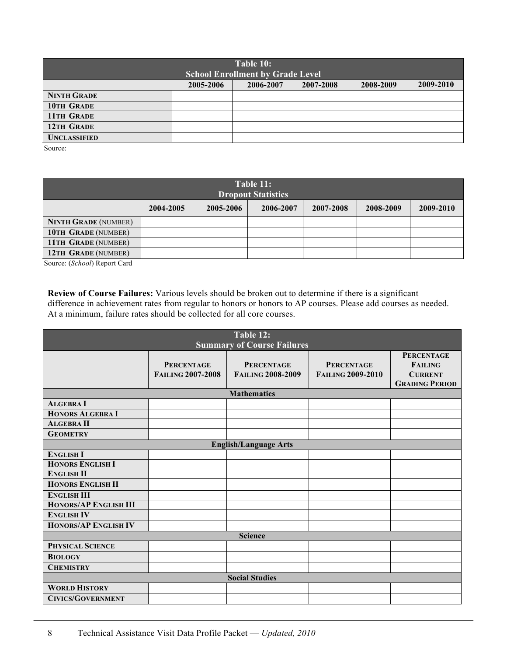| Table 10:<br><b>School Enrollment by Grade Level</b> |           |           |           |           |           |  |
|------------------------------------------------------|-----------|-----------|-----------|-----------|-----------|--|
|                                                      | 2005-2006 | 2006-2007 | 2007-2008 | 2008-2009 | 2009-2010 |  |
| <b>NINTH GRADE</b>                                   |           |           |           |           |           |  |
| <b>10TH GRADE</b>                                    |           |           |           |           |           |  |
| 11TH GRADE                                           |           |           |           |           |           |  |
| 12TH GRADE                                           |           |           |           |           |           |  |
| <b>UNCLASSIFIED</b>                                  |           |           |           |           |           |  |

Source:

| Table 11:<br><b>Dropout Statistics</b> |           |           |           |           |           |           |
|----------------------------------------|-----------|-----------|-----------|-----------|-----------|-----------|
|                                        | 2004-2005 | 2005-2006 | 2006-2007 | 2007-2008 | 2008-2009 | 2009-2010 |
| <b>NINTH GRADE (NUMBER)</b>            |           |           |           |           |           |           |
| <b>10TH GRADE (NUMBER)</b>             |           |           |           |           |           |           |
| 11TH GRADE (NUMBER)                    |           |           |           |           |           |           |
| <b>12TH GRADE (NUMBER)</b>             |           |           |           |           |           |           |

Source: (*School*) Report Card

**Review of Course Failures:** Various levels should be broken out to determine if there is a significant difference in achievement rates from regular to honors or honors to AP courses. Please add courses as needed. At a minimum, failure rates should be collected for all core courses.

| Table 12:<br><b>Summary of Course Failures</b> |                                               |                                               |                                               |                                                                                |  |
|------------------------------------------------|-----------------------------------------------|-----------------------------------------------|-----------------------------------------------|--------------------------------------------------------------------------------|--|
|                                                | <b>PERCENTAGE</b><br><b>FAILING 2007-2008</b> | <b>PERCENTAGE</b><br><b>FAILING 2008-2009</b> | <b>PERCENTAGE</b><br><b>FAILING 2009-2010</b> | <b>PERCENTAGE</b><br><b>FAILING</b><br><b>CURRENT</b><br><b>GRADING PERIOD</b> |  |
|                                                |                                               | <b>Mathematics</b>                            |                                               |                                                                                |  |
| <b>ALGEBRA I</b>                               |                                               |                                               |                                               |                                                                                |  |
| <b>HONORS ALGEBRA I</b>                        |                                               |                                               |                                               |                                                                                |  |
| <b>ALGEBRA II</b>                              |                                               |                                               |                                               |                                                                                |  |
| <b>GEOMETRY</b>                                |                                               |                                               |                                               |                                                                                |  |
|                                                |                                               | <b>English/Language Arts</b>                  |                                               |                                                                                |  |
| <b>ENGLISH I</b>                               |                                               |                                               |                                               |                                                                                |  |
| <b>HONORS ENGLISH I</b>                        |                                               |                                               |                                               |                                                                                |  |
| <b>ENGLISH II</b>                              |                                               |                                               |                                               |                                                                                |  |
| <b>HONORS ENGLISH II</b>                       |                                               |                                               |                                               |                                                                                |  |
| <b>ENGLISH III</b>                             |                                               |                                               |                                               |                                                                                |  |
| <b>HONORS/AP ENGLISH III</b>                   |                                               |                                               |                                               |                                                                                |  |
| <b>ENGLISH IV</b>                              |                                               |                                               |                                               |                                                                                |  |
| <b>HONORS/AP ENGLISH IV</b>                    |                                               |                                               |                                               |                                                                                |  |
| <b>Science</b>                                 |                                               |                                               |                                               |                                                                                |  |
| <b>PHYSICAL SCIENCE</b>                        |                                               |                                               |                                               |                                                                                |  |
| <b>BIOLOGY</b>                                 |                                               |                                               |                                               |                                                                                |  |
| <b>CHEMISTRY</b>                               |                                               |                                               |                                               |                                                                                |  |
| <b>Social Studies</b>                          |                                               |                                               |                                               |                                                                                |  |
| <b>WORLD HISTORY</b>                           |                                               |                                               |                                               |                                                                                |  |
| <b>CIVICS/GOVERNMENT</b>                       |                                               |                                               |                                               |                                                                                |  |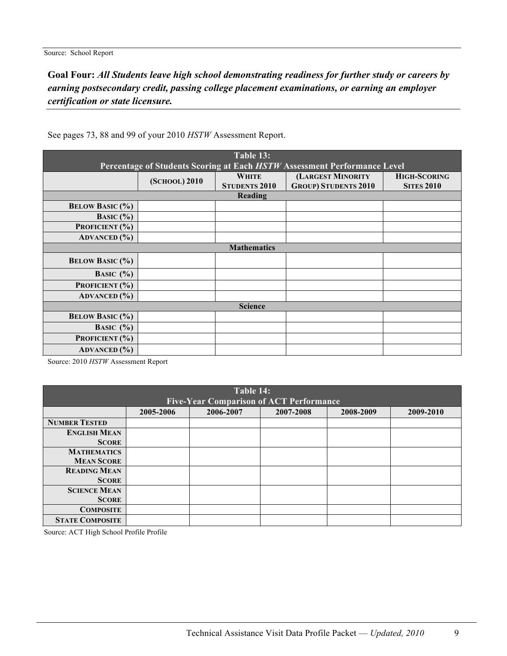### **Goal Four:** *All Students leave high school demonstrating readiness for further study or careers by earning postsecondary credit, passing college placement examinations, or earning an employer certification or state licensure.*

| Table 13:              |               |                      |                                                                          |                     |  |
|------------------------|---------------|----------------------|--------------------------------------------------------------------------|---------------------|--|
|                        |               |                      | Percentage of Students Scoring at Each HSTW Assessment Performance Level |                     |  |
|                        | (SCHOOL) 2010 | <b>WHITE</b>         | (LARGEST MINORITY                                                        | <b>HIGH-SCORING</b> |  |
|                        |               | <b>STUDENTS 2010</b> | <b>GROUP) STUDENTS 2010</b>                                              | <b>SITES 2010</b>   |  |
|                        |               | Reading              |                                                                          |                     |  |
| <b>BELOW BASIC (%)</b> |               |                      |                                                                          |                     |  |
| <b>BASIC</b> $(\%)$    |               |                      |                                                                          |                     |  |
| PROFICIENT (%)         |               |                      |                                                                          |                     |  |
| <b>ADVANCED</b> (%)    |               |                      |                                                                          |                     |  |
|                        |               | <b>Mathematics</b>   |                                                                          |                     |  |
| <b>BELOW BASIC (%)</b> |               |                      |                                                                          |                     |  |
| BASIC $(\% )$          |               |                      |                                                                          |                     |  |
| PROFICIENT (%)         |               |                      |                                                                          |                     |  |
| <b>ADVANCED</b> (%)    |               |                      |                                                                          |                     |  |
| <b>Science</b>         |               |                      |                                                                          |                     |  |
| <b>BELOW BASIC (%)</b> |               |                      |                                                                          |                     |  |
| BASIC $(\% )$          |               |                      |                                                                          |                     |  |
| PROFICIENT (%)         |               |                      |                                                                          |                     |  |
| <b>ADVANCED</b> (%)    |               |                      |                                                                          |                     |  |

See pages 73, 88 and 99 of your 2010 *HSTW* Assessment Report.

Source: 2010 *HSTW* Assessment Report

| Table 14:<br><b>Five-Year Comparison of ACT Performance</b> |           |           |           |           |           |  |
|-------------------------------------------------------------|-----------|-----------|-----------|-----------|-----------|--|
|                                                             |           |           |           |           |           |  |
|                                                             | 2005-2006 | 2006-2007 | 2007-2008 | 2008-2009 | 2009-2010 |  |
| <b>NUMBER TESTED</b>                                        |           |           |           |           |           |  |
| <b>ENGLISH MEAN</b>                                         |           |           |           |           |           |  |
| <b>SCORE</b>                                                |           |           |           |           |           |  |
| <b>MATHEMATICS</b>                                          |           |           |           |           |           |  |
| <b>MEAN SCORE</b>                                           |           |           |           |           |           |  |
| <b>READING MEAN</b>                                         |           |           |           |           |           |  |
| <b>SCORE</b>                                                |           |           |           |           |           |  |
| <b>SCIENCE MEAN</b>                                         |           |           |           |           |           |  |
| <b>SCORE</b>                                                |           |           |           |           |           |  |
| <b>COMPOSITE</b>                                            |           |           |           |           |           |  |
| <b>STATE COMPOSITE</b>                                      |           |           |           |           |           |  |

Source: ACT High School Profile Profile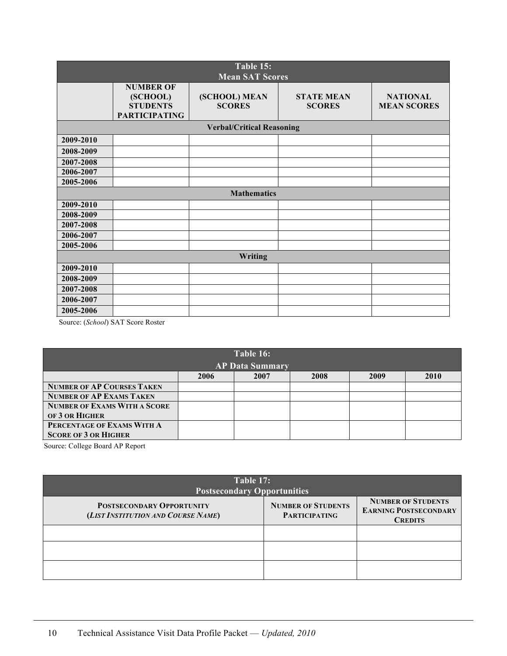| Table 15:<br><b>Mean SAT Scores</b> |                                                                         |                                  |                                    |                                       |  |
|-------------------------------------|-------------------------------------------------------------------------|----------------------------------|------------------------------------|---------------------------------------|--|
|                                     | <b>NUMBER OF</b><br>(SCHOOL)<br><b>STUDENTS</b><br><b>PARTICIPATING</b> | (SCHOOL) MEAN<br><b>SCORES</b>   | <b>STATE MEAN</b><br><b>SCORES</b> | <b>NATIONAL</b><br><b>MEAN SCORES</b> |  |
|                                     |                                                                         | <b>Verbal/Critical Reasoning</b> |                                    |                                       |  |
| 2009-2010                           |                                                                         |                                  |                                    |                                       |  |
| 2008-2009                           |                                                                         |                                  |                                    |                                       |  |
| 2007-2008                           |                                                                         |                                  |                                    |                                       |  |
| 2006-2007                           |                                                                         |                                  |                                    |                                       |  |
| 2005-2006                           |                                                                         |                                  |                                    |                                       |  |
|                                     |                                                                         | <b>Mathematics</b>               |                                    |                                       |  |
| 2009-2010                           |                                                                         |                                  |                                    |                                       |  |
| 2008-2009                           |                                                                         |                                  |                                    |                                       |  |
| 2007-2008                           |                                                                         |                                  |                                    |                                       |  |
| 2006-2007                           |                                                                         |                                  |                                    |                                       |  |
| 2005-2006                           |                                                                         |                                  |                                    |                                       |  |
| Writing                             |                                                                         |                                  |                                    |                                       |  |
| 2009-2010                           |                                                                         |                                  |                                    |                                       |  |
| 2008-2009                           |                                                                         |                                  |                                    |                                       |  |
| 2007-2008                           |                                                                         |                                  |                                    |                                       |  |
| 2006-2007                           |                                                                         |                                  |                                    |                                       |  |
| 2005-2006                           |                                                                         |                                  |                                    |                                       |  |

Source: (*School*) SAT Score Roster

| Table 16:                           |                                      |  |  |  |  |  |  |
|-------------------------------------|--------------------------------------|--|--|--|--|--|--|
|                                     | <b>AP Data Summary</b>               |  |  |  |  |  |  |
|                                     | 2006<br>2008<br>2009<br>2010<br>2007 |  |  |  |  |  |  |
| <b>NUMBER OF AP COURSES TAKEN</b>   |                                      |  |  |  |  |  |  |
| <b>NUMBER OF AP EXAMS TAKEN</b>     |                                      |  |  |  |  |  |  |
| <b>NUMBER OF EXAMS WITH A SCORE</b> |                                      |  |  |  |  |  |  |
| OF 3 OR HIGHER                      |                                      |  |  |  |  |  |  |
| PERCENTAGE OF EXAMS WITH A          |                                      |  |  |  |  |  |  |
| <b>SCORE OF 3 OR HIGHER</b>         |                                      |  |  |  |  |  |  |

Source: College Board AP Report

| Table 17:<br><b>Postsecondary Opportunities</b>                        |                                                   |                                                                             |  |  |  |  |
|------------------------------------------------------------------------|---------------------------------------------------|-----------------------------------------------------------------------------|--|--|--|--|
| <b>POSTSECONDARY OPPORTUNITY</b><br>(LIST INSTITUTION AND COURSE NAME) | <b>NUMBER OF STUDENTS</b><br><b>PARTICIPATING</b> | <b>NUMBER OF STUDENTS</b><br><b>EARNING POSTSECONDARY</b><br><b>CREDITS</b> |  |  |  |  |
|                                                                        |                                                   |                                                                             |  |  |  |  |
|                                                                        |                                                   |                                                                             |  |  |  |  |
|                                                                        |                                                   |                                                                             |  |  |  |  |